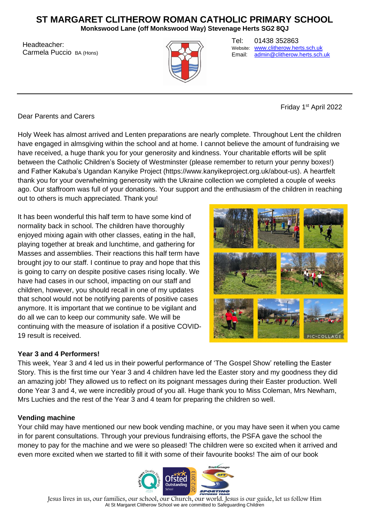# **ST MARGARET CLITHEROW ROMAN CATHOLIC PRIMARY SCHOOL**

**Monkswood Lane (off Monkswood Way) Stevenage Herts SG2 8QJ**

Headteacher: Carmela Puccio BA (Hons)



Tel: 01438 352863 Website: [www.clitherow.herts.sch.uk](http://www.clitherow.herts.sch.uk/)<br>Email: admin@clitherow.herts.sch [admin@clitherow.herts.sch.uk](mailto:admin@clitherow.herts.sch.uk)

Friday 1<sup>st</sup> April 2022

Dear Parents and Carers

Holy Week has almost arrived and Lenten preparations are nearly complete. Throughout Lent the children have engaged in almsgiving within the school and at home. I cannot believe the amount of fundraising we have received, a huge thank you for your generosity and kindness. Your charitable efforts will be split between the Catholic Children's Society of Westminster (please remember to return your penny boxes!) and Father Kakuba's Ugandan Kanyike Project (https://www.kanyikeproject.org.uk/about-us). A heartfelt thank you for your overwhelming generosity with the Ukraine collection we completed a couple of weeks ago. Our staffroom was full of your donations. Your support and the enthusiasm of the children in reaching out to others is much appreciated. Thank you!

It has been wonderful this half term to have some kind of normality back in school. The children have thoroughly enjoyed mixing again with other classes, eating in the hall, playing together at break and lunchtime, and gathering for Masses and assemblies. Their reactions this half term have brought joy to our staff. I continue to pray and hope that this is going to carry on despite positive cases rising locally. We have had cases in our school, impacting on our staff and children, however, you should recall in one of my updates that school would not be notifying parents of positive cases anymore. It is important that we continue to be vigilant and do all we can to keep our community safe. We will be continuing with the measure of isolation if a positive COVID-19 result is received.



## **Year 3 and 4 Performers!**

This week, Year 3 and 4 led us in their powerful performance of 'The Gospel Show' retelling the Easter Story. This is the first time our Year 3 and 4 children have led the Easter story and my goodness they did an amazing job! They allowed us to reflect on its poignant messages during their Easter production. Well done Year 3 and 4, we were incredibly proud of you all. Huge thank you to Miss Coleman, Mrs Newham, Mrs Luchies and the rest of the Year 3 and 4 team for preparing the children so well.

## **Vending machine**

Your child may have mentioned our new book vending machine, or you may have seen it when you came in for parent consultations. Through your previous fundraising efforts, the PSFA gave the school the money to pay for the machine and we were so pleased! The children were so excited when it arrived and even more excited when we started to fill it with some of their favourite books! The aim of our book

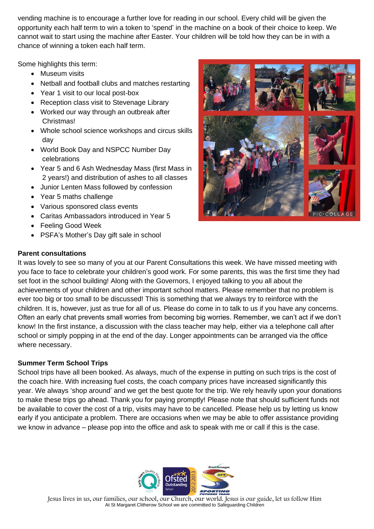vending machine is to encourage a further love for reading in our school. Every child will be given the opportunity each half term to win a token to 'spend' in the machine on a book of their choice to keep. We cannot wait to start using the machine after Easter. Your children will be told how they can be in with a chance of winning a token each half term.

Some highlights this term:

- Museum visits
- Netball and football clubs and matches restarting
- Year 1 visit to our local post-box
- Reception class visit to Stevenage Library
- Worked our way through an outbreak after Christmas!
- Whole school science workshops and circus skills day
- World Book Day and NSPCC Number Day celebrations
- Year 5 and 6 Ash Wednesday Mass (first Mass in 2 years!) and distribution of ashes to all classes
- Junior Lenten Mass followed by confession
- Year 5 maths challenge
- Various sponsored class events
- Caritas Ambassadors introduced in Year 5
- Feeling Good Week
- PSFA's Mother's Day gift sale in school

## **Parent consultations**



It was lovely to see so many of you at our Parent Consultations this week. We have missed meeting with you face to face to celebrate your children's good work. For some parents, this was the first time they had set foot in the school building! Along with the Governors, I enjoyed talking to you all about the achievements of your children and other important school matters. Please remember that no problem is ever too big or too small to be discussed! This is something that we always try to reinforce with the children. It is, however, just as true for all of us. Please do come in to talk to us if you have any concerns. Often an early chat prevents small worries from becoming big worries. Remember, we can't act if we don't know! In the first instance, a discussion with the class teacher may help, either via a telephone call after school or simply popping in at the end of the day. Longer appointments can be arranged via the office where necessary.

## **Summer Term School Trips**

School trips have all been booked. As always, much of the expense in putting on such trips is the cost of the coach hire. With increasing fuel costs, the coach company prices have increased significantly this year. We always 'shop around' and we get the best quote for the trip. We rely heavily upon your donations to make these trips go ahead. Thank you for paying promptly! Please note that should sufficient funds not be available to cover the cost of a trip, visits may have to be cancelled. Please help us by letting us know early if you anticipate a problem. There are occasions when we may be able to offer assistance providing we know in advance – please pop into the office and ask to speak with me or call if this is the case.

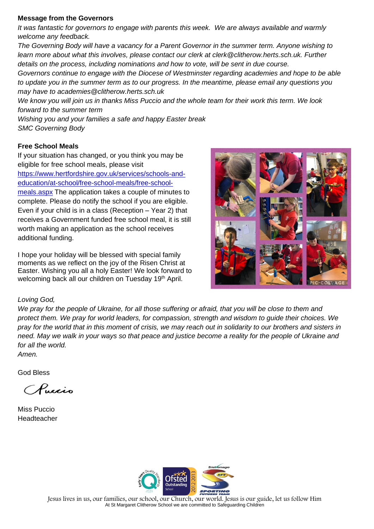#### **Message from the Governors**

*It was fantastic for governors to engage with parents this week. We are always available and warmly welcome any feedback.* 

*The Governing Body will have a vacancy for a Parent Governor in the summer term. Anyone wishing to learn more about what this involves, please contact our clerk at clerk@clitherow.herts.sch.uk. Further details on the process, including nominations and how to vote, will be sent in due course.*

*Governors continue to engage with the Diocese of Westminster regarding academies and hope to be able to update you in the summer term as to our progress. In the meantime, please email any questions you may have to academies@clitherow.herts.sch.uk* 

*We know you will join us in thanks Miss Puccio and the whole team for their work this term. We look forward to the summer term*

*Wishing you and your families a safe and happy Easter break SMC Governing Body* 

## **Free School Meals**

If your situation has changed, or you think you may be eligible for free school meals, please visit [https://www.hertfordshire.gov.uk/services/schools-and](https://www.hertfordshire.gov.uk/services/schools-and-education/at-school/free-school-meals/free-school-meals.aspx)[education/at-school/free-school-meals/free-school](https://www.hertfordshire.gov.uk/services/schools-and-education/at-school/free-school-meals/free-school-meals.aspx)[meals.aspx](https://www.hertfordshire.gov.uk/services/schools-and-education/at-school/free-school-meals/free-school-meals.aspx) The application takes a couple of minutes to complete. Please do notify the school if you are eligible. Even if your child is in a class (Reception – Year 2) that receives a Government funded free school meal, it is still worth making an application as the school receives additional funding.

I hope your holiday will be blessed with special family moments as we reflect on the joy of the Risen Christ at Easter. Wishing you all a holy Easter! We look forward to welcoming back all our children on Tuesday 19<sup>th</sup> April.



## *Loving God,*

*We pray for the people of Ukraine, for all those suffering or afraid, that you will be close to them and protect them. We pray for world leaders, for compassion, strength and wisdom to guide their choices. We pray for the world that in this moment of crisis, we may reach out in solidarity to our brothers and sisters in need. May we walk in your ways so that peace and justice become a reality for the people of Ukraine and for all the world. Amen.*

God Bless

Chucis

Miss Puccio Headteacher